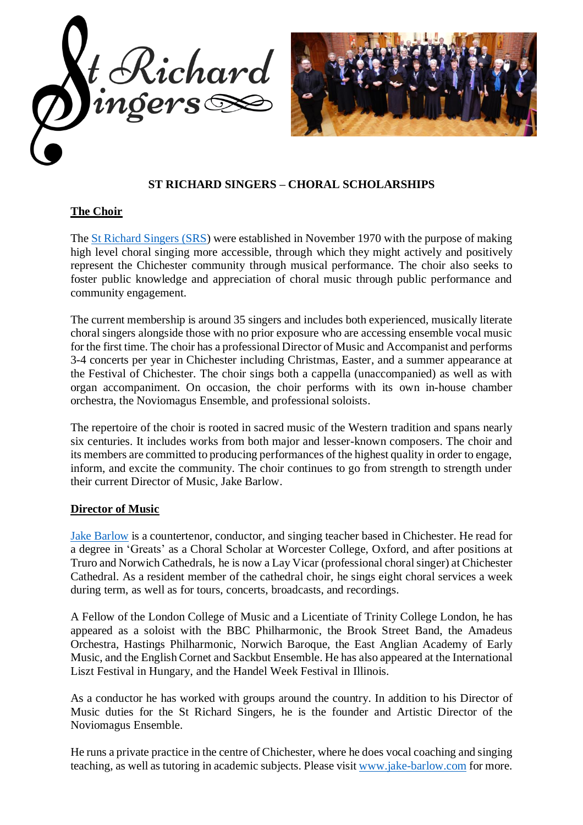



## **ST RICHARD SINGERS – CHORAL SCHOLARSHIPS**

## **The Choir**

The [St Richard Singers \(SRS\)](http://www.strichardsingers.org.uk/) were established in November 1970 with the purpose of making high level choral singing more accessible, through which they might actively and positively represent the Chichester community through musical performance. The choir also seeks to foster public knowledge and appreciation of choral music through public performance and community engagement.

The current membership is around 35 singers and includes both experienced, musically literate choral singers alongside those with no prior exposure who are accessing ensemble vocal music for the first time. The choir has a professional Director of Music and Accompanist and performs 3-4 concerts per year in Chichester including Christmas, Easter, and a summer appearance at the Festival of Chichester. The choir sings both a cappella (unaccompanied) as well as with organ accompaniment. On occasion, the choir performs with its own in-house chamber orchestra, the Noviomagus Ensemble, and professional soloists.

The repertoire of the choir is rooted in sacred music of the Western tradition and spans nearly six centuries. It includes works from both major and lesser-known composers. The choir and its members are committed to producing performances of the highest quality in order to engage, inform, and excite the community. The choir continues to go from strength to strength under their current Director of Music, Jake Barlow.

## **Director of Music**

Jake [Barlow](mailto:info@jake-barlow.com) is a countertenor, conductor, and singing teacher based in Chichester. He read for a degree in 'Greats' as a Choral Scholar at Worcester College, Oxford, and after positions at Truro and Norwich Cathedrals, he is now a Lay Vicar (professional choralsinger) at Chichester Cathedral. As a resident member of the cathedral choir, he sings eight choral services a week during term, as well as for tours, concerts, broadcasts, and recordings.

A Fellow of the London College of Music and a Licentiate of Trinity College London, he has appeared as a soloist with the BBC Philharmonic, the Brook Street Band, the Amadeus Orchestra, Hastings Philharmonic, Norwich Baroque, the East Anglian Academy of Early Music, and the English Cornet and Sackbut Ensemble. He has also appeared at the International Liszt Festival in Hungary, and the Handel Week Festival in Illinois.

As a conductor he has worked with groups around the country. In addition to his Director of Music duties for the St Richard Singers, he is the founder and Artistic Director of the Noviomagus Ensemble.

He runs a private practice in the centre of Chichester, where he does vocal coaching and singing teaching, as well as tutoring in academic subjects. Please visit [www.jake-barlow.com](http://www.jake-barlow.com/) for more.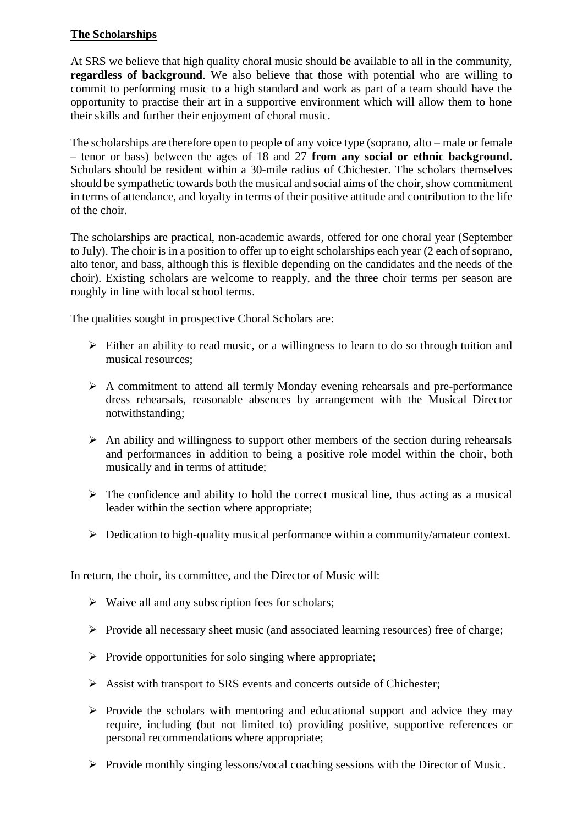## **The Scholarships**

At SRS we believe that high quality choral music should be available to all in the community, **regardless of background**. We also believe that those with potential who are willing to commit to performing music to a high standard and work as part of a team should have the opportunity to practise their art in a supportive environment which will allow them to hone their skills and further their enjoyment of choral music.

The scholarships are therefore open to people of any voice type (soprano, alto – male or female – tenor or bass) between the ages of 18 and 27 **from any social or ethnic background**. Scholars should be resident within a 30-mile radius of Chichester. The scholars themselves should be sympathetic towards both the musical and social aims of the choir, show commitment in terms of attendance, and loyalty in terms of their positive attitude and contribution to the life of the choir.

The scholarships are practical, non-academic awards, offered for one choral year (September to July). The choir is in a position to offer up to eight scholarships each year (2 each of soprano, alto tenor, and bass, although this is flexible depending on the candidates and the needs of the choir). Existing scholars are welcome to reapply, and the three choir terms per season are roughly in line with local school terms.

The qualities sought in prospective Choral Scholars are:

- ➢ Either an ability to read music, or a willingness to learn to do so through tuition and musical resources;
- ➢ A commitment to attend all termly Monday evening rehearsals and pre-performance dress rehearsals, reasonable absences by arrangement with the Musical Director notwithstanding;
- $\triangleright$  An ability and willingness to support other members of the section during rehearsals and performances in addition to being a positive role model within the choir, both musically and in terms of attitude;
- $\triangleright$  The confidence and ability to hold the correct musical line, thus acting as a musical leader within the section where appropriate;
- ➢ Dedication to high-quality musical performance within a community/amateur context.

In return, the choir, its committee, and the Director of Music will:

- $\triangleright$  Waive all and any subscription fees for scholars;
- ➢ Provide all necessary sheet music (and associated learning resources) free of charge;
- $\triangleright$  Provide opportunities for solo singing where appropriate;
- ➢ Assist with transport to SRS events and concerts outside of Chichester;
- ➢ Provide the scholars with mentoring and educational support and advice they may require, including (but not limited to) providing positive, supportive references or personal recommendations where appropriate;
- ➢ Provide monthly singing lessons/vocal coaching sessions with the Director of Music.